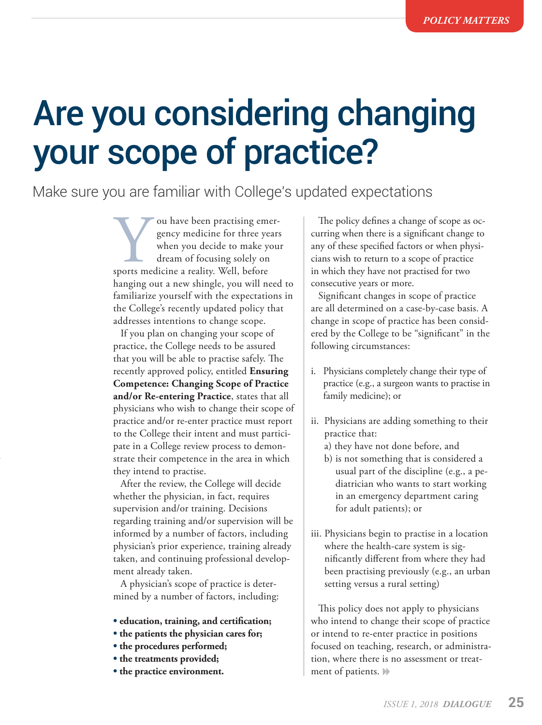# Are you considering changing your scope of practice?

## Make sure you are familiar with College's updated expectations

Vou have been practising emergency medicine for three years<br>
when you decide to make you<br>
dream of focusing solely on<br>
sports medicine a reality. Well, before gency medicine for three years when you decide to make your dream of focusing solely on hanging out a new shingle, you will need to familiarize yourself with the expectations in the College's recently updated policy that addresses intentions to change scope.

If you plan on changing your scope of practice, the College needs to be assured that you will be able to practise safely. The recently approved policy, entitled **[Ensuring](http://www.cpso.on.ca/Policies-Publications/Policy/Ensuring-Competence)  [Competence: Changing Scope of Practice](http://www.cpso.on.ca/Policies-Publications/Policy/Ensuring-Competence)  [and/or Re-entering Practice](http://www.cpso.on.ca/Policies-Publications/Policy/Ensuring-Competence)**, states that all physicians who wish to change their scope of practice and/or re-enter practice must report to the College their intent and must participate in a College review process to demonstrate their competence in the area in which they intend to practise.

After the review, the College will decide whether the physician, in fact, requires supervision and/or training. Decisions regarding training and/or supervision will be informed by a number of factors, including physician's prior experience, training already taken, and continuing professional development already taken.

A physician's scope of practice is determined by a number of factors, including:

- **• education, training, and certification;**
- **• the patients the physician cares for;**
- **the procedures performed;**
- **the treatments provided;**
- **the practice environment.**

The policy defines a change of scope as occurring when there is a significant change to any of these specified factors or when physicians wish to return to a scope of practice in which they have not practised for two consecutive years or more.

Significant changes in scope of practice are all determined on a case-by-case basis. A change in scope of practice has been considered by the College to be "significant" in the following circumstances:

- i. Physicians completely change their type of practice (e.g., a surgeon wants to practise in family medicine); or
- ii. Physicians are adding something to their practice that:
	- a) they have not done before, and
	- b) is not something that is considered a usual part of the discipline (e.g., a pediatrician who wants to start working in an emergency department caring for adult patients); or
- iii. Physicians begin to practise in a location where the health-care system is significantly different from where they had been practising previously (e.g., an urban setting versus a rural setting)

This policy does not apply to physicians who intend to change their scope of practice or intend to re-enter practice in positions focused on teaching, research, or administration, where there is no assessment or treatment of patients.